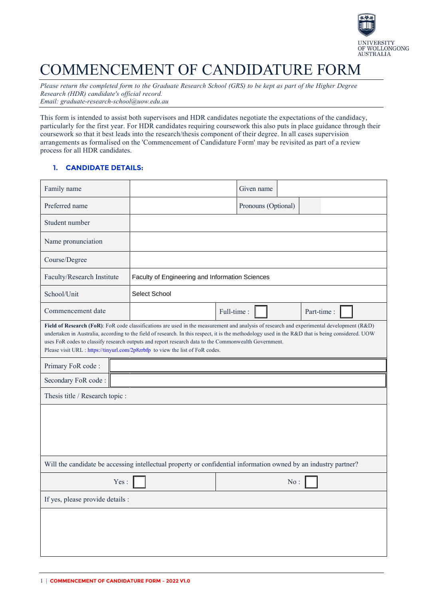

# COMMENCEMENT OF CANDIDATURE FORM

*Please return the completed form to the Graduate Research School (GRS) to be kept as part of the Higher Degree Research (HDR) candidate's official record. Email: [graduate-research-school@uow.edu.au](mailto:graduate-research-school@uow.edu.au)*

This form is intended to assist both supervisors and HDR candidates negotiate the expectations of the candidacy, particularly for the first year. For HDR candidates requiring coursework this also puts in place guidance through their coursework so that it best leads into the research/thesis component of their degree. In all cases supervision arrangements as formalised on the 'Commencement of Candidature Form' may be revisited as part of a review process for all HDR candidates.

## **1. CANDIDATE DETAILS:**

| Family name                                                                                                                                                                                                                                                                                                                                                                                                                                                                              |                                                 | Given name               |  |  |  |  |
|------------------------------------------------------------------------------------------------------------------------------------------------------------------------------------------------------------------------------------------------------------------------------------------------------------------------------------------------------------------------------------------------------------------------------------------------------------------------------------------|-------------------------------------------------|--------------------------|--|--|--|--|
| Preferred name                                                                                                                                                                                                                                                                                                                                                                                                                                                                           |                                                 | Pronouns (Optional)      |  |  |  |  |
| Student number                                                                                                                                                                                                                                                                                                                                                                                                                                                                           |                                                 |                          |  |  |  |  |
| Name pronunciation                                                                                                                                                                                                                                                                                                                                                                                                                                                                       |                                                 |                          |  |  |  |  |
| Course/Degree                                                                                                                                                                                                                                                                                                                                                                                                                                                                            |                                                 |                          |  |  |  |  |
| Faculty/Research Institute                                                                                                                                                                                                                                                                                                                                                                                                                                                               | Faculty of Engineering and Information Sciences |                          |  |  |  |  |
| School/Unit                                                                                                                                                                                                                                                                                                                                                                                                                                                                              | Select School                                   |                          |  |  |  |  |
| Commencement date                                                                                                                                                                                                                                                                                                                                                                                                                                                                        |                                                 | Full-time:<br>Part-time: |  |  |  |  |
| Field of Research (FoR): FoR code classifications are used in the measurement and analysis of research and experimental development (R&D)<br>undertaken in Australia, according to the field of research. In this respect, it is the methodology used in the R&D that is being considered. UOW<br>uses FoR codes to classify research outputs and report research data to the Commonwealth Government.<br>Please visit URL : https://tinyurl.com/2p8zrbfp to view the list of FoR codes. |                                                 |                          |  |  |  |  |
| Primary FoR code:                                                                                                                                                                                                                                                                                                                                                                                                                                                                        |                                                 |                          |  |  |  |  |
| Secondary FoR code:                                                                                                                                                                                                                                                                                                                                                                                                                                                                      |                                                 |                          |  |  |  |  |
| Thesis title / Research topic :                                                                                                                                                                                                                                                                                                                                                                                                                                                          |                                                 |                          |  |  |  |  |
|                                                                                                                                                                                                                                                                                                                                                                                                                                                                                          |                                                 |                          |  |  |  |  |
| Will the candidate be accessing intellectual property or confidential information owned by an industry partner?                                                                                                                                                                                                                                                                                                                                                                          |                                                 |                          |  |  |  |  |
| Yes:                                                                                                                                                                                                                                                                                                                                                                                                                                                                                     |                                                 | No:                      |  |  |  |  |
| If yes, please provide details :                                                                                                                                                                                                                                                                                                                                                                                                                                                         |                                                 |                          |  |  |  |  |
|                                                                                                                                                                                                                                                                                                                                                                                                                                                                                          |                                                 |                          |  |  |  |  |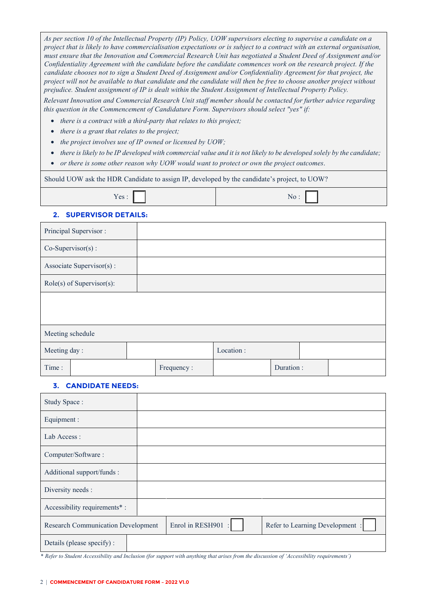*As per section 10 of the Intellectual Property (IP) Policy, UOW supervisors electing to supervise a candidate on a project that is likely to have commercialisation expectations or is subject to a contract with an external organisation, must ensure that the Innovation and Commercial Research Unit has negotiated a Student Deed of Assignment and/or Confidentiality Agreement with the candidate before the candidate commences work on the research project. If the candidate chooses not to sign a Student Deed of Assignment and/or Confidentiality Agreement for that project, the project will not be available to that candidate and the candidate will then be free to choose another project without prejudice. Student assignment of IP is dealt within the Student Assignment of Intellectual Property Policy.*

*Relevant Innovation and Commercial Research Unit staff member should be contacted for further advice regarding this question in the Commencement of Candidature Form. Supervisors should select "yes" if:*

- *there is a contract with a third-party that relates to this project;*
- *there is a grant that relates to the project;*
- *the project involves use of IP owned or licensed by UOW;*
- *there is likely to be IP developed with commercial value and it is not likely to be developed solely by the candidate;*
- *or there is some other reason why UOW would want to protect or own the project outcomes*.

Should UOW ask the HDR Candidate to assign IP, developed by the candidate's project, to UOW?

|--|

#### **2. SUPERVISOR DETAILS:**

| Principal Supervisor:       |  |            |           |           |  |  |
|-----------------------------|--|------------|-----------|-----------|--|--|
| $Co-Supervisor(s)$ :        |  |            |           |           |  |  |
| Associate Supervisor(s):    |  |            |           |           |  |  |
| $Role(s)$ of Supervisor(s): |  |            |           |           |  |  |
|                             |  |            |           |           |  |  |
|                             |  |            |           |           |  |  |
| Meeting schedule            |  |            |           |           |  |  |
| Meeting day:                |  |            | Location: |           |  |  |
| Time:                       |  | Frequency: |           | Duration: |  |  |

#### **3. CANDIDATE NEEDS:**

| Study Space:                              |                    |                                 |
|-------------------------------------------|--------------------|---------------------------------|
| Equipment :                               |                    |                                 |
| Lab Access:                               |                    |                                 |
| Computer/Software:                        |                    |                                 |
| Additional support/funds :                |                    |                                 |
| Diversity needs :                         |                    |                                 |
| Accessibility requirements*:              |                    |                                 |
| <b>Research Communication Development</b> | Enrol in RESH901 : | Refer to Learning Development : |
| Details (please specify) :                |                    |                                 |

\* *Refer to Student Accessibility and Inclusion (for support with anything that arises from the discussion of 'Accessibility requirements')*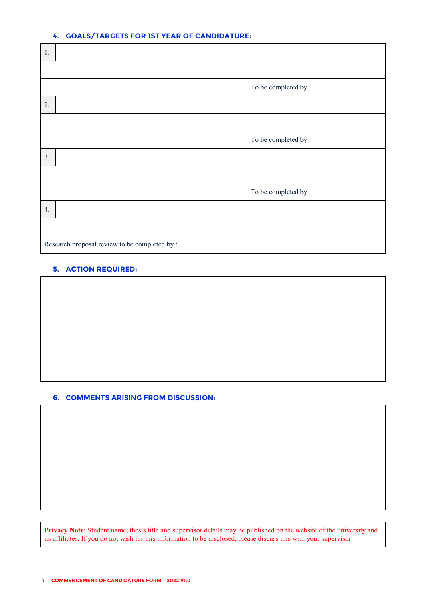#### **4. GOALS/TARGETS FOR 1ST YEAR OF CANDIDATURE:**

| 1. |                                               |                      |
|----|-----------------------------------------------|----------------------|
|    |                                               |                      |
|    |                                               | To be completed by : |
| 2. |                                               |                      |
|    |                                               |                      |
|    |                                               | To be completed by:  |
| 3. |                                               |                      |
|    |                                               |                      |
|    |                                               | To be completed by : |
| 4. |                                               |                      |
|    |                                               |                      |
|    | Research proposal review to be completed by : |                      |

## **5. ACTION REQUIRED:**

#### **6. COMMENTS ARISING FROM DISCUSSION:**

**Privacy Note**: Student name, thesis title and supervisor details may be published on the website of the university and its affiliates. If you do not wish for this information to be disclosed, please discuss this with your supervisor.